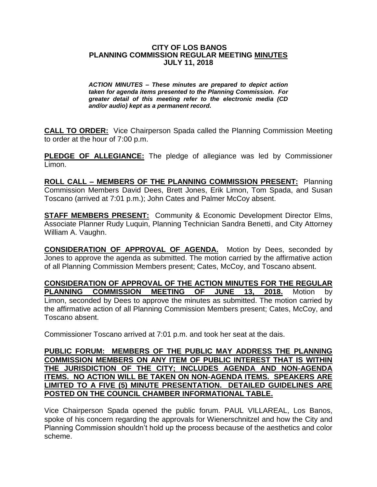## **CITY OF LOS BANOS PLANNING COMMISSION REGULAR MEETING MINUTES JULY 11, 2018**

*ACTION MINUTES – These minutes are prepared to depict action taken for agenda items presented to the Planning Commission. For greater detail of this meeting refer to the electronic media (CD and/or audio) kept as a permanent record.*

**CALL TO ORDER:** Vice Chairperson Spada called the Planning Commission Meeting to order at the hour of 7:00 p.m.

**PLEDGE OF ALLEGIANCE:** The pledge of allegiance was led by Commissioner Limon.

**ROLL CALL – MEMBERS OF THE PLANNING COMMISSION PRESENT:** Planning Commission Members David Dees, Brett Jones, Erik Limon, Tom Spada, and Susan Toscano (arrived at 7:01 p.m.); John Cates and Palmer McCoy absent.

**STAFF MEMBERS PRESENT:** Community & Economic Development Director Elms, Associate Planner Rudy Luquin, Planning Technician Sandra Benetti, and City Attorney William A. Vaughn.

**CONSIDERATION OF APPROVAL OF AGENDA.** Motion by Dees, seconded by Jones to approve the agenda as submitted. The motion carried by the affirmative action of all Planning Commission Members present; Cates, McCoy, and Toscano absent.

**CONSIDERATION OF APPROVAL OF THE ACTION MINUTES FOR THE REGULAR PLANNING COMMISSION MEETING OF JUNE 13, 2018.** Motion by Limon, seconded by Dees to approve the minutes as submitted. The motion carried by the affirmative action of all Planning Commission Members present; Cates, McCoy, and Toscano absent.

Commissioner Toscano arrived at 7:01 p.m. and took her seat at the dais.

## **PUBLIC FORUM: MEMBERS OF THE PUBLIC MAY ADDRESS THE PLANNING COMMISSION MEMBERS ON ANY ITEM OF PUBLIC INTEREST THAT IS WITHIN THE JURISDICTION OF THE CITY; INCLUDES AGENDA AND NON-AGENDA ITEMS. NO ACTION WILL BE TAKEN ON NON-AGENDA ITEMS. SPEAKERS ARE LIMITED TO A FIVE (5) MINUTE PRESENTATION. DETAILED GUIDELINES ARE POSTED ON THE COUNCIL CHAMBER INFORMATIONAL TABLE.**

Vice Chairperson Spada opened the public forum. PAUL VILLAREAL, Los Banos, spoke of his concern regarding the approvals for Wienerschnitzel and how the City and Planning Commission shouldn't hold up the process because of the aesthetics and color scheme.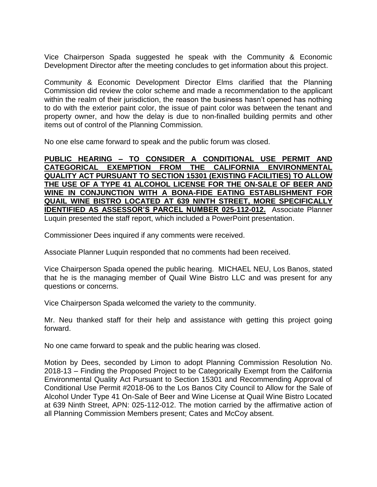Vice Chairperson Spada suggested he speak with the Community & Economic Development Director after the meeting concludes to get information about this project.

Community & Economic Development Director Elms clarified that the Planning Commission did review the color scheme and made a recommendation to the applicant within the realm of their jurisdiction, the reason the business hasn't opened has nothing to do with the exterior paint color, the issue of paint color was between the tenant and property owner, and how the delay is due to non-finalled building permits and other items out of control of the Planning Commission.

No one else came forward to speak and the public forum was closed.

**PUBLIC HEARING – TO CONSIDER A CONDITIONAL USE PERMIT AND CATEGORICAL EXEMPTION FROM THE CALIFORNIA ENVIRONMENTAL QUALITY ACT PURSUANT TO SECTION 15301 (EXISTING FACILITIES) TO ALLOW THE USE OF A TYPE 41 ALCOHOL LICENSE FOR THE ON-SALE OF BEER AND WINE IN CONJUNCTION WITH A BONA-FIDE EATING ESTABLISHMENT FOR QUAIL WINE BISTRO LOCATED AT 639 NINTH STREET, MORE SPECIFICALLY IDENTIFIED AS ASSESSOR'S PARCEL NUMBER 025-112-012.** Associate Planner Luquin presented the staff report, which included a PowerPoint presentation.

Commissioner Dees inquired if any comments were received.

Associate Planner Luquin responded that no comments had been received.

Vice Chairperson Spada opened the public hearing. MICHAEL NEU, Los Banos, stated that he is the managing member of Quail Wine Bistro LLC and was present for any questions or concerns.

Vice Chairperson Spada welcomed the variety to the community.

Mr. Neu thanked staff for their help and assistance with getting this project going forward.

No one came forward to speak and the public hearing was closed.

Motion by Dees, seconded by Limon to adopt Planning Commission Resolution No. 2018-13 – Finding the Proposed Project to be Categorically Exempt from the California Environmental Quality Act Pursuant to Section 15301 and Recommending Approval of Conditional Use Permit #2018-06 to the Los Banos City Council to Allow for the Sale of Alcohol Under Type 41 On-Sale of Beer and Wine License at Quail Wine Bistro Located at 639 Ninth Street, APN: 025-112-012. The motion carried by the affirmative action of all Planning Commission Members present; Cates and McCoy absent.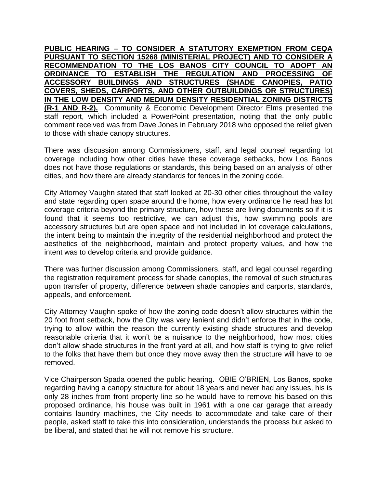**PUBLIC HEARING – TO CONSIDER A STATUTORY EXEMPTION FROM CEQA PURSUANT TO SECTION 15268 (MINISTERIAL PROJECT) AND TO CONSIDER A RECOMMENDATION TO THE LOS BANOS CITY COUNCIL TO ADOPT AN ORDINANCE TO ESTABLISH THE REGULATION AND PROCESSING OF ACCESSORY BUILDINGS AND STRUCTURES (SHADE CANOPIES, PATIO COVERS, SHEDS, CARPORTS, AND OTHER OUTBUILDINGS OR STRUCTURES) IN THE LOW DENSITY AND MEDIUM DENSITY RESIDENTIAL ZONING DISTRICTS (R-1 AND R-2).** Community & Economic Development Director Elms presented the staff report, which included a PowerPoint presentation, noting that the only public comment received was from Dave Jones in February 2018 who opposed the relief given to those with shade canopy structures.

There was discussion among Commissioners, staff, and legal counsel regarding lot coverage including how other cities have these coverage setbacks, how Los Banos does not have those regulations or standards, this being based on an analysis of other cities, and how there are already standards for fences in the zoning code.

City Attorney Vaughn stated that staff looked at 20-30 other cities throughout the valley and state regarding open space around the home, how every ordinance he read has lot coverage criteria beyond the primary structure, how these are living documents so if it is found that it seems too restrictive, we can adjust this, how swimming pools are accessory structures but are open space and not included in lot coverage calculations, the intent being to maintain the integrity of the residential neighborhood and protect the aesthetics of the neighborhood, maintain and protect property values, and how the intent was to develop criteria and provide guidance.

There was further discussion among Commissioners, staff, and legal counsel regarding the registration requirement process for shade canopies, the removal of such structures upon transfer of property, difference between shade canopies and carports, standards, appeals, and enforcement.

City Attorney Vaughn spoke of how the zoning code doesn't allow structures within the 20 foot front setback, how the City was very lenient and didn't enforce that in the code, trying to allow within the reason the currently existing shade structures and develop reasonable criteria that it won't be a nuisance to the neighborhood, how most cities don't allow shade structures in the front yard at all, and how staff is trying to give relief to the folks that have them but once they move away then the structure will have to be removed.

Vice Chairperson Spada opened the public hearing. OBIE O'BRIEN, Los Banos, spoke regarding having a canopy structure for about 18 years and never had any issues, his is only 28 inches from front property line so he would have to remove his based on this proposed ordinance, his house was built in 1961 with a one car garage that already contains laundry machines, the City needs to accommodate and take care of their people, asked staff to take this into consideration, understands the process but asked to be liberal, and stated that he will not remove his structure.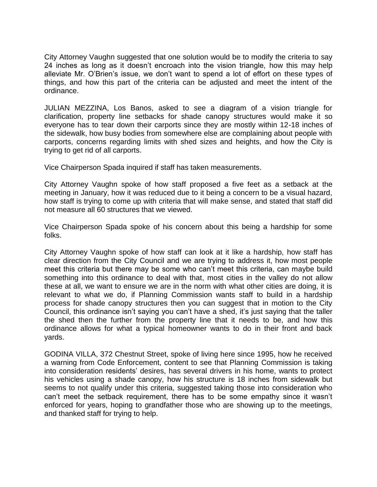City Attorney Vaughn suggested that one solution would be to modify the criteria to say 24 inches as long as it doesn't encroach into the vision triangle, how this may help alleviate Mr. O'Brien's issue, we don't want to spend a lot of effort on these types of things, and how this part of the criteria can be adjusted and meet the intent of the ordinance.

JULIAN MEZZINA, Los Banos, asked to see a diagram of a vision triangle for clarification, property line setbacks for shade canopy structures would make it so everyone has to tear down their carports since they are mostly within 12-18 inches of the sidewalk, how busy bodies from somewhere else are complaining about people with carports, concerns regarding limits with shed sizes and heights, and how the City is trying to get rid of all carports.

Vice Chairperson Spada inquired if staff has taken measurements.

City Attorney Vaughn spoke of how staff proposed a five feet as a setback at the meeting in January, how it was reduced due to it being a concern to be a visual hazard, how staff is trying to come up with criteria that will make sense, and stated that staff did not measure all 60 structures that we viewed.

Vice Chairperson Spada spoke of his concern about this being a hardship for some folks.

City Attorney Vaughn spoke of how staff can look at it like a hardship, how staff has clear direction from the City Council and we are trying to address it, how most people meet this criteria but there may be some who can't meet this criteria, can maybe build something into this ordinance to deal with that, most cities in the valley do not allow these at all, we want to ensure we are in the norm with what other cities are doing, it is relevant to what we do, if Planning Commission wants staff to build in a hardship process for shade canopy structures then you can suggest that in motion to the City Council, this ordinance isn't saying you can't have a shed, it's just saying that the taller the shed then the further from the property line that it needs to be, and how this ordinance allows for what a typical homeowner wants to do in their front and back yards.

GODINA VILLA, 372 Chestnut Street, spoke of living here since 1995, how he received a warning from Code Enforcement, content to see that Planning Commission is taking into consideration residents' desires, has several drivers in his home, wants to protect his vehicles using a shade canopy, how his structure is 18 inches from sidewalk but seems to not qualify under this criteria, suggested taking those into consideration who can't meet the setback requirement, there has to be some empathy since it wasn't enforced for years, hoping to grandfather those who are showing up to the meetings, and thanked staff for trying to help.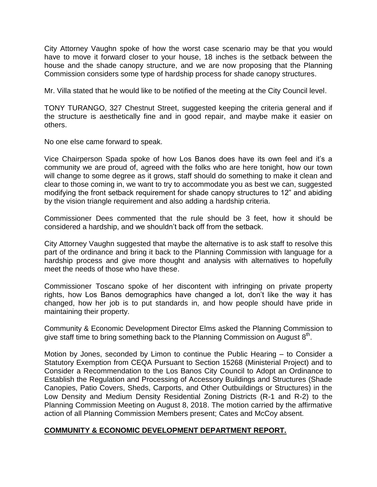City Attorney Vaughn spoke of how the worst case scenario may be that you would have to move it forward closer to your house, 18 inches is the setback between the house and the shade canopy structure, and we are now proposing that the Planning Commission considers some type of hardship process for shade canopy structures.

Mr. Villa stated that he would like to be notified of the meeting at the City Council level.

TONY TURANGO, 327 Chestnut Street, suggested keeping the criteria general and if the structure is aesthetically fine and in good repair, and maybe make it easier on others.

No one else came forward to speak.

Vice Chairperson Spada spoke of how Los Banos does have its own feel and it's a community we are proud of, agreed with the folks who are here tonight, how our town will change to some degree as it grows, staff should do something to make it clean and clear to those coming in, we want to try to accommodate you as best we can, suggested modifying the front setback requirement for shade canopy structures to 12" and abiding by the vision triangle requirement and also adding a hardship criteria.

Commissioner Dees commented that the rule should be 3 feet, how it should be considered a hardship, and we shouldn't back off from the setback.

City Attorney Vaughn suggested that maybe the alternative is to ask staff to resolve this part of the ordinance and bring it back to the Planning Commission with language for a hardship process and give more thought and analysis with alternatives to hopefully meet the needs of those who have these.

Commissioner Toscano spoke of her discontent with infringing on private property rights, how Los Banos demographics have changed a lot, don't like the way it has changed, how her job is to put standards in, and how people should have pride in maintaining their property.

Community & Economic Development Director Elms asked the Planning Commission to give staff time to bring something back to the Planning Commission on August  $8<sup>th</sup>$ .

Motion by Jones, seconded by Limon to continue the Public Hearing – to Consider a Statutory Exemption from CEQA Pursuant to Section 15268 (Ministerial Project) and to Consider a Recommendation to the Los Banos City Council to Adopt an Ordinance to Establish the Regulation and Processing of Accessory Buildings and Structures (Shade Canopies, Patio Covers, Sheds, Carports, and Other Outbuildings or Structures) in the Low Density and Medium Density Residential Zoning Districts (R-1 and R-2) to the Planning Commission Meeting on August 8, 2018. The motion carried by the affirmative action of all Planning Commission Members present; Cates and McCoy absent.

## **COMMUNITY & ECONOMIC DEVELOPMENT DEPARTMENT REPORT.**